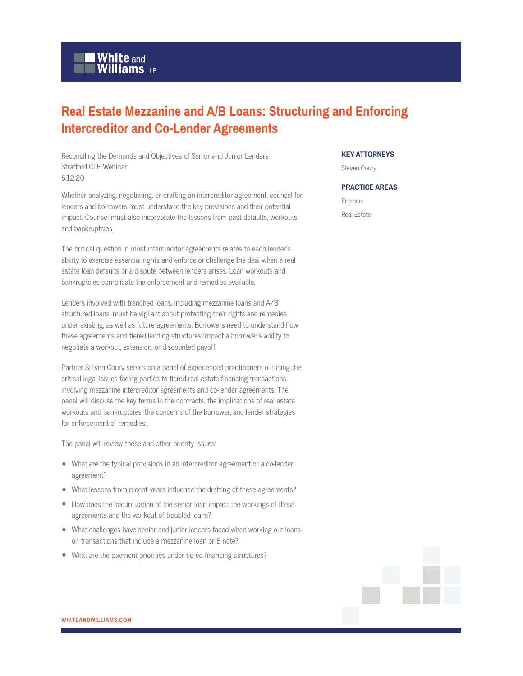## **White and Williams LLP**

## **Real Estate Mezzanine and A/B Loans: Structuring and Enforcing Intercreditor and Co-Lender Agreements**

Reconciling the Demands and Objectives of Senior and Junior Lenders Strafford CLE Webinar 5.12.20

Whether analyzing, negotiating, or drafting an intercreditor agreement, counsel for lenders and borrowers must understand the key provisions and their potential impact. Counsel must also incorporate the lessons from past defaults, workouts, and bankruptcies.

The critical question in most intercreditor agreements relates to each lender's ability to exercise essential rights and enforce or challenge the deal when a real estate loan defaults or a dispute between lenders arises. Loan workouts and bankruptcies complicate the enforcement and remedies available.

Lenders involved with tranched loans, including mezzanine loans and A/B structured loans, must be vigilant about protecting their rights and remedies under existing, as well as future agreements. Borrowers need to understand how these agreements and tiered lending structures impact a borrower's ability to negotiate a workout, extension, or discounted payoff.

Partner Steven Coury serves on a panel of experienced practitioners outlining the critical legal issues facing parties to tiered real estate financing transactions involving mezzanine intercreditor agreements and co-lender agreements. The panel will discuss the key terms in the contracts, the implications of real estate workouts and bankruptcies, the concerns of the borrower, and lender strategies for enforcement of remedies.

The panel will review these and other priority issues:

- What are the typical provisions in an intercreditor agreement or a co-lender agreement?
- What lessons from recent years influence the drafting of these agreements?
- How does the securitization of the senior loan impact the workings of these agreements and the workout of troubled loans?
- What challenges have senior and junior lenders faced when working out loans on transactions that include a mezzanine loan or B note?
- What are the payment priorities under tiered financing structures?

## **KEY ATTORNEYS**

Steven Coury

## **PRACTICE AREAS**

Finance Real Estate